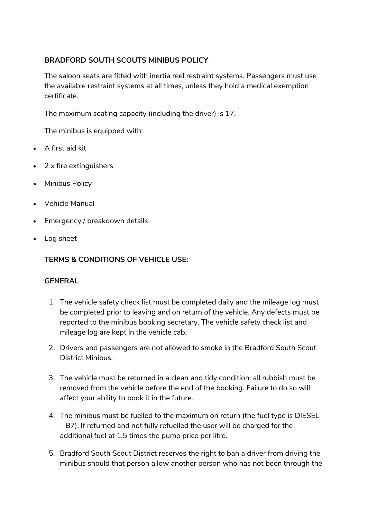# **BRADFORD SOUTH SCOUTS MINIBUS POLICY**

The saloon seats are fitted with inertia reel restraint systems. Passengers must use the available restraint systems at all times, unless they hold a medical exemption certificate.

The maximum seating capacity (including the driver) is 17.

The minibus is equipped with:

- A first aid kit
- $\bullet$  2 x fire extinguishers
- Minibus Policy
- Vehicle Manual
- Emergency / breakdown details
- Log sheet

## **TERMS & CONDITIONS OF VEHICLE USE:**

## **GENERAL**

- 1. The vehicle safety check list must be completed daily and the mileage log must be completed prior to leaving and on return of the vehicle. Any defects must be reported to the minibus booking secretary. The vehicle safety check list and mileage log are kept in the vehicle cab.
- 2. Drivers and passengers are not allowed to smoke in the Bradford South Scout District Minibus.
- 3. The vehicle must be returned in a clean and tidy condition: all rubbish must be removed from the vehicle before the end of the booking. Failure to do so will affect your ability to book it in the future.
- 4. The minibus must be fuelled to the maximum on return (the fuel type is DIESEL – B7). If returned and not fully refuelled the user will be charged for the additional fuel at 1.5 times the pump price per litre.
- 5. Bradford South Scout District reserves the right to ban a driver from driving the minibus should that person allow another person who has not been through the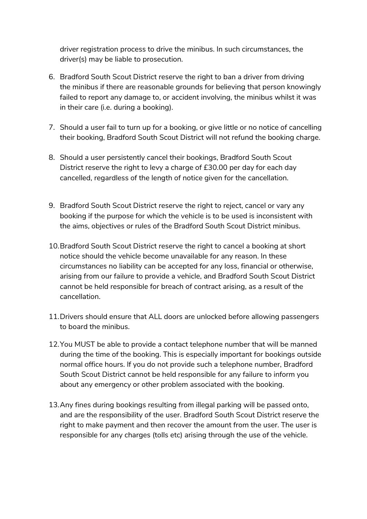driver registration process to drive the minibus. In such circumstances, the driver(s) may be liable to prosecution.

- 6. Bradford South Scout District reserve the right to ban a driver from driving the minibus if there are reasonable grounds for believing that person knowingly failed to report any damage to, or accident involving, the minibus whilst it was in their care (i.e. during a booking).
- 7. Should a user fail to turn up for a booking, or give little or no notice of cancelling their booking, Bradford South Scout District will not refund the booking charge.
- 8. Should a user persistently cancel their bookings, Bradford South Scout District reserve the right to levy a charge of £30.00 per day for each day cancelled, regardless of the length of notice given for the cancellation.
- 9. Bradford South Scout District reserve the right to reject, cancel or vary any booking if the purpose for which the vehicle is to be used is inconsistent with the aims, objectives or rules of the Bradford South Scout District minibus.
- 10.Bradford South Scout District reserve the right to cancel a booking at short notice should the vehicle become unavailable for any reason. In these circumstances no liability can be accepted for any loss, financial or otherwise, arising from our failure to provide a vehicle, and Bradford South Scout District cannot be held responsible for breach of contract arising, as a result of the cancellation.
- 11.Drivers should ensure that ALL doors are unlocked before allowing passengers to board the minibus.
- 12.You MUST be able to provide a contact telephone number that will be manned during the time of the booking. This is especially important for bookings outside normal office hours. If you do not provide such a telephone number, Bradford South Scout District cannot be held responsible for any failure to inform you about any emergency or other problem associated with the booking.
- 13.Any fines during bookings resulting from illegal parking will be passed onto, and are the responsibility of the user. Bradford South Scout District reserve the right to make payment and then recover the amount from the user. The user is responsible for any charges (tolls etc) arising through the use of the vehicle.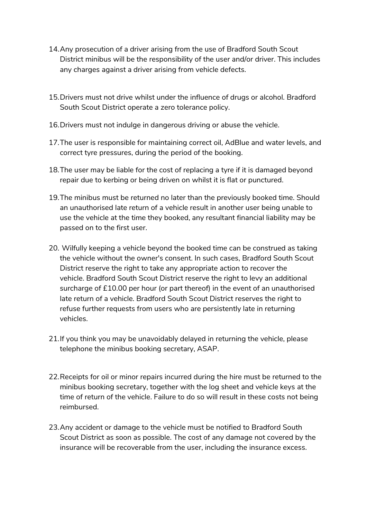- 14.Any prosecution of a driver arising from the use of Bradford South Scout District minibus will be the responsibility of the user and/or driver. This includes any charges against a driver arising from vehicle defects.
- 15.Drivers must not drive whilst under the influence of drugs or alcohol. Bradford South Scout District operate a zero tolerance policy.
- 16.Drivers must not indulge in dangerous driving or abuse the vehicle.
- 17.The user is responsible for maintaining correct oil, AdBlue and water levels, and correct tyre pressures, during the period of the booking.
- 18.The user may be liable for the cost of replacing a tyre if it is damaged beyond repair due to kerbing or being driven on whilst it is flat or punctured.
- 19.The minibus must be returned no later than the previously booked time. Should an unauthorised late return of a vehicle result in another user being unable to use the vehicle at the time they booked, any resultant financial liability may be passed on to the first user.
- 20. Wilfully keeping a vehicle beyond the booked time can be construed as taking the vehicle without the owner's consent. In such cases, Bradford South Scout District reserve the right to take any appropriate action to recover the vehicle. Bradford South Scout District reserve the right to levy an additional surcharge of £10.00 per hour (or part thereof) in the event of an unauthorised late return of a vehicle. Bradford South Scout District reserves the right to refuse further requests from users who are persistently late in returning vehicles.
- 21.If you think you may be unavoidably delayed in returning the vehicle, please telephone the minibus booking secretary, ASAP.
- 22.Receipts for oil or minor repairs incurred during the hire must be returned to the minibus booking secretary, together with the log sheet and vehicle keys at the time of return of the vehicle. Failure to do so will result in these costs not being reimbursed.
- 23.Any accident or damage to the vehicle must be notified to Bradford South Scout District as soon as possible. The cost of any damage not covered by the insurance will be recoverable from the user, including the insurance excess.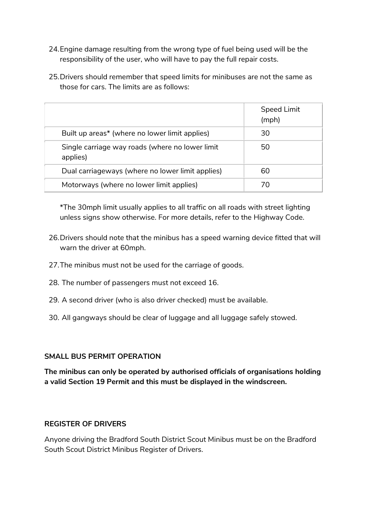- 24.Engine damage resulting from the wrong type of fuel being used will be the responsibility of the user, who will have to pay the full repair costs.
- 25.Drivers should remember that speed limits for minibuses are not the same as those for cars. The limits are as follows:

|                                                             | Speed Limit<br>(mph) |
|-------------------------------------------------------------|----------------------|
| Built up areas* (where no lower limit applies)              | 30                   |
| Single carriage way roads (where no lower limit<br>applies) | 50                   |
| Dual carriageways (where no lower limit applies)            | 60                   |
| Motorways (where no lower limit applies)                    |                      |

\*The 30mph limit usually applies to all traffic on all roads with street lighting unless signs show otherwise. For more details, refer to the [Highway Code.](http://www.direct.gov.uk/en/TravelAndTransport/Highwaycode/DG_070304)

- 26.Drivers should note that the minibus has a speed warning device fitted that will warn the driver at 60mph.
- 27.The minibus must not be used for the carriage of goods.
- 28. The number of passengers must not exceed 16.
- 29. A second driver (who is also driver checked) must be available.
- 30. All gangways should be clear of luggage and all luggage safely stowed.

## **SMALL BUS PERMIT OPERATION**

**The minibus can only be operated by authorised officials of organisations holding a valid Section 19 Permit and this must be displayed in the windscreen.**

## **REGISTER OF DRIVERS**

Anyone driving the Bradford South District Scout Minibus must be on the Bradford South Scout District Minibus Register of Drivers.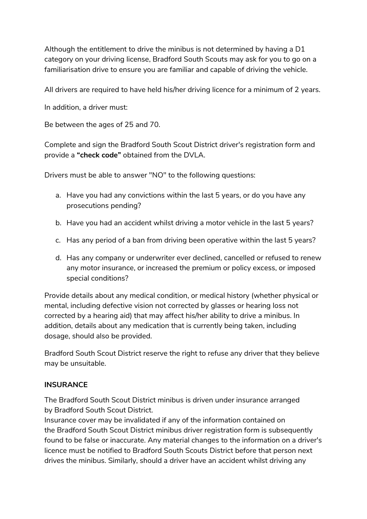Although the entitlement to drive the minibus is not determined by having a D1 category on your driving license, Bradford South Scouts may ask for you to go on a familiarisation drive to ensure you are familiar and capable of driving the vehicle.

All drivers are required to have held his/her driving licence for a minimum of 2 years.

In addition, a driver must:

Be between the ages of 25 and 70.

Complete and sign the Bradford South Scout District driver's registration form and provide a **"check code"** obtained from the DVLA.

Drivers must be able to answer "NO" to the following questions:

- a. Have you had any convictions within the last 5 years, or do you have any prosecutions pending?
- b. Have you had an accident whilst driving a motor vehicle in the last 5 years?
- c. Has any period of a ban from driving been operative within the last 5 years?
- d. Has any company or underwriter ever declined, cancelled or refused to renew any motor insurance, or increased the premium or policy excess, or imposed special conditions?

Provide details about any medical condition, or medical history (whether physical or mental, including defective vision not corrected by glasses or hearing loss not corrected by a hearing aid) that may affect his/her ability to drive a minibus. In addition, details about any medication that is currently being taken, including dosage, should also be provided.

Bradford South Scout District reserve the right to refuse any driver that they believe may be unsuitable.

## **INSURANCE**

The Bradford South Scout District minibus is driven under insurance arranged by Bradford South Scout District.

Insurance cover may be invalidated if any of the information contained on the Bradford South Scout District minibus driver registration form is subsequently found to be false or inaccurate. Any material changes to the information on a driver's licence must be notified to Bradford South Scouts District before that person next drives the minibus. Similarly, should a driver have an accident whilst driving any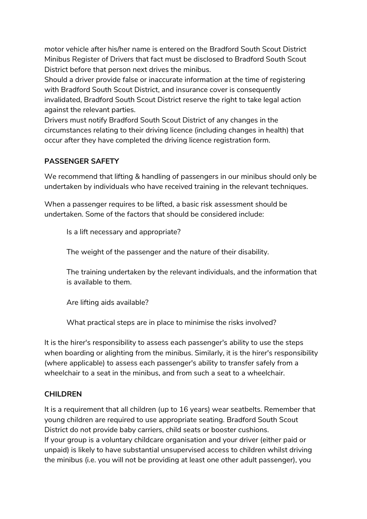motor vehicle after his/her name is entered on the Bradford South Scout District Minibus Register of Drivers that fact must be disclosed to Bradford South Scout District before that person next drives the minibus.

Should a driver provide false or inaccurate information at the time of registering with Bradford South Scout District, and insurance cover is consequently invalidated, Bradford South Scout District reserve the right to take legal action against the relevant parties.

Drivers must notify Bradford South Scout District of any changes in the circumstances relating to their driving licence (including changes in health) that occur after they have completed the driving licence registration form.

## **PASSENGER SAFETY**

We recommend that lifting & handling of passengers in our minibus should only be undertaken by individuals who have received training in the relevant techniques.

When a passenger requires to be lifted, a basic risk assessment should be undertaken. Some of the factors that should be considered include:

Is a lift necessary and appropriate?

The weight of the passenger and the nature of their disability.

The training undertaken by the relevant individuals, and the information that is available to them.

Are lifting aids available?

What practical steps are in place to minimise the risks involved?

It is the hirer's responsibility to assess each passenger's ability to use the steps when boarding or alighting from the minibus. Similarly, it is the hirer's responsibility (where applicable) to assess each passenger's ability to transfer safely from a wheelchair to a seat in the minibus, and from such a seat to a wheelchair.

## **CHILDREN**

It is a requirement that all children (up to 16 years) wear seatbelts. Remember that young children are required to use appropriate seating. Bradford South Scout District do not provide baby carriers, child seats or booster cushions. If your group is a voluntary childcare organisation and your driver (either paid or unpaid) is likely to have substantial unsupervised access to children whilst driving the minibus (i.e. you will not be providing at least one other adult passenger), you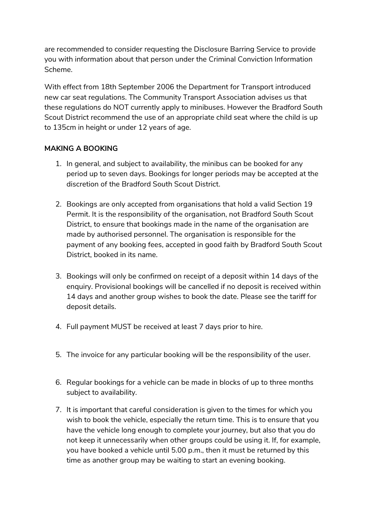are recommended to consider requesting the Disclosure Barring Service to provide you with information about that person under the Criminal Conviction Information Scheme.

With effect from 18th September 2006 the Department for Transport introduced new car seat regulations. The Community Transport Association advises us that these regulations do NOT currently apply to minibuses. However the Bradford South Scout District recommend the use of an appropriate child seat where the child is up to 135cm in height or under 12 years of age.

# **MAKING A BOOKING**

- 1. In general, and subject to availability, the minibus can be booked for any period up to seven days. Bookings for longer periods may be accepted at the discretion of the Bradford South Scout District.
- 2. Bookings are only accepted from organisations that hold a valid Section 19 Permit. It is the responsibility of the organisation, not Bradford South Scout District, to ensure that bookings made in the name of the organisation are made by authorised personnel. The organisation is responsible for the payment of any booking fees, accepted in good faith by Bradford South Scout District, booked in its name.
- 3. Bookings will only be confirmed on receipt of a deposit within 14 days of the enquiry. Provisional bookings will be cancelled if no deposit is received within 14 days and another group wishes to book the date. Please see the tariff for deposit details.
- 4. Full payment MUST be received at least 7 days prior to hire.
- 5. The invoice for any particular booking will be the responsibility of the user.
- 6. Regular bookings for a vehicle can be made in blocks of up to three months subject to availability.
- 7. It is important that careful consideration is given to the times for which you wish to book the vehicle, especially the return time. This is to ensure that you have the vehicle long enough to complete your journey, but also that you do not keep it unnecessarily when other groups could be using it. If, for example, you have booked a vehicle until 5.00 p.m., then it must be returned by this time as another group may be waiting to start an evening booking.